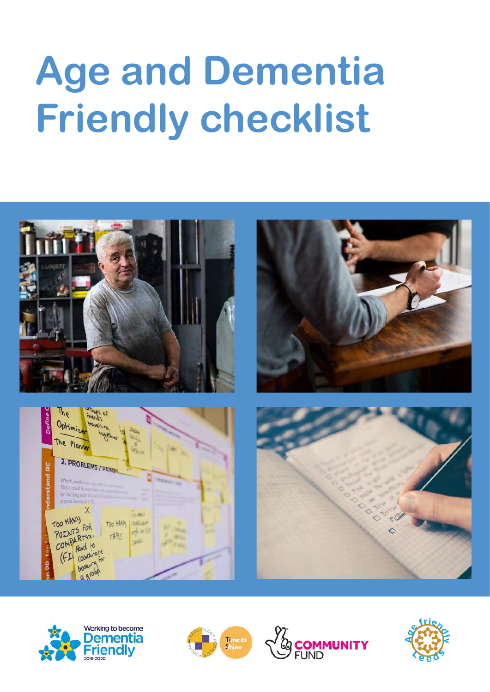# **Age and Dementia Friendly checklist**









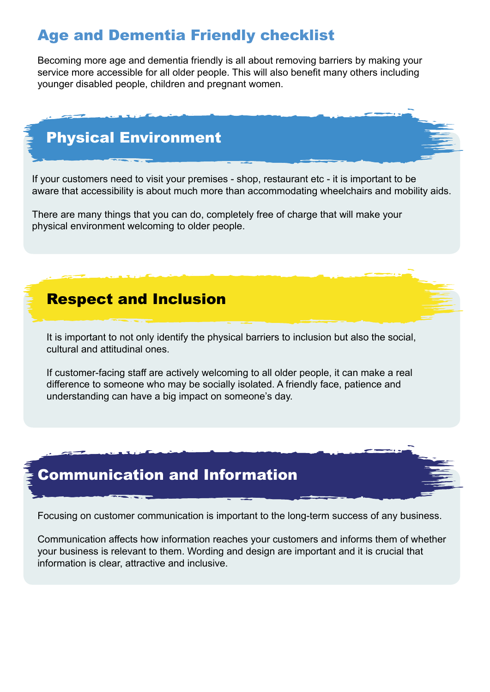#### Age and Dementia Friendly checklist

Becoming more age and dementia friendly is all about removing barriers by making your service more accessible for all older people. This will also benefit many others including younger disabled people, children and pregnant women.

### Physical Environment

If your customers need to visit your premises - shop, restaurant etc - it is important to be aware that accessibility is about much more than accommodating wheelchairs and mobility aids.

There are many things that you can do, completely free of charge that will make your physical environment welcoming to older people.

#### Respect and Inclusion

It is important to not only identify the physical barriers to inclusion but also the social, cultural and attitudinal ones.

If customer-facing staff are actively welcoming to all older people, it can make a real difference to someone who may be socially isolated. A friendly face, patience and understanding can have a big impact on someone's day.

#### Communication and Information

Focusing on customer communication is important to the long-term success of any business.

Communication affects how information reaches your customers and informs them of whether your business is relevant to them. Wording and design are important and it is crucial that information is clear, attractive and inclusive.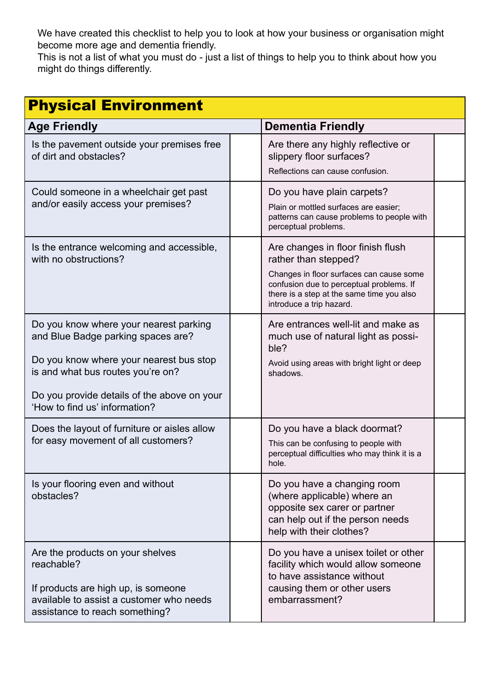We have created this checklist to help you to look at how your business or organisation might become more age and dementia friendly.

This is not a list of what you must do - just a list of things to help you to think about how you might do things differently.

| <b>Physical Environment</b>                                                                                                                                                                                                                  |  |                                                                                                                                                                                                                            |  |
|----------------------------------------------------------------------------------------------------------------------------------------------------------------------------------------------------------------------------------------------|--|----------------------------------------------------------------------------------------------------------------------------------------------------------------------------------------------------------------------------|--|
| <b>Age Friendly</b>                                                                                                                                                                                                                          |  | <b>Dementia Friendly</b>                                                                                                                                                                                                   |  |
| Is the pavement outside your premises free<br>of dirt and obstacles?                                                                                                                                                                         |  | Are there any highly reflective or<br>slippery floor surfaces?<br>Reflections can cause confusion.                                                                                                                         |  |
| Could someone in a wheelchair get past<br>and/or easily access your premises?                                                                                                                                                                |  | Do you have plain carpets?<br>Plain or mottled surfaces are easier;<br>patterns can cause problems to people with<br>perceptual problems.                                                                                  |  |
| Is the entrance welcoming and accessible,<br>with no obstructions?                                                                                                                                                                           |  | Are changes in floor finish flush<br>rather than stepped?<br>Changes in floor surfaces can cause some<br>confusion due to perceptual problems. If<br>there is a step at the same time you also<br>introduce a trip hazard. |  |
| Do you know where your nearest parking<br>and Blue Badge parking spaces are?<br>Do you know where your nearest bus stop<br>is and what bus routes you're on?<br>Do you provide details of the above on your<br>'How to find us' information? |  | Are entrances well-lit and make as<br>much use of natural light as possi-<br>ble?<br>Avoid using areas with bright light or deep<br>shadows.                                                                               |  |
| Does the layout of furniture or aisles allow<br>for easy movement of all customers?                                                                                                                                                          |  | Do you have a black doormat?<br>This can be confusing to people with<br>perceptual difficulties who may think it is a<br>hole.                                                                                             |  |
| Is your flooring even and without<br>obstacles?                                                                                                                                                                                              |  | Do you have a changing room<br>(where applicable) where an<br>opposite sex carer or partner<br>can help out if the person needs<br>help with their clothes?                                                                |  |
| Are the products on your shelves<br>reachable?<br>If products are high up, is someone<br>available to assist a customer who needs<br>assistance to reach something?                                                                          |  | Do you have a unisex toilet or other<br>facility which would allow someone<br>to have assistance without<br>causing them or other users<br>embarrassment?                                                                  |  |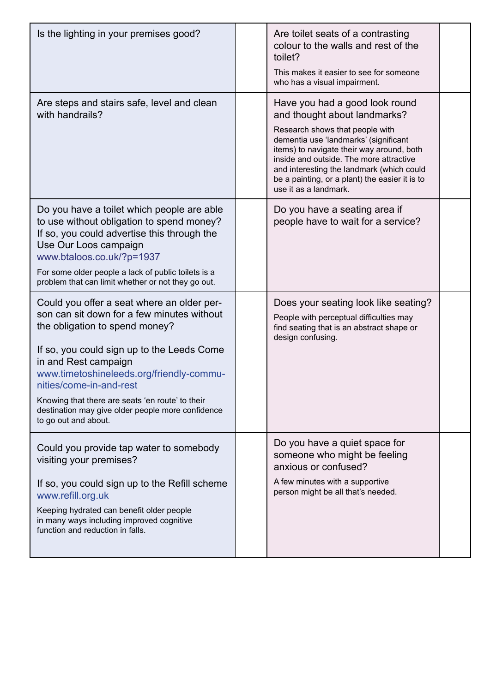| Is the lighting in your premises good?                                                                                                                                                                                                                                                                                                                                                                   | Are toilet seats of a contrasting<br>colour to the walls and rest of the<br>toilet?<br>This makes it easier to see for someone<br>who has a visual impairment.                                                                                                                                                                                             |  |
|----------------------------------------------------------------------------------------------------------------------------------------------------------------------------------------------------------------------------------------------------------------------------------------------------------------------------------------------------------------------------------------------------------|------------------------------------------------------------------------------------------------------------------------------------------------------------------------------------------------------------------------------------------------------------------------------------------------------------------------------------------------------------|--|
| Are steps and stairs safe, level and clean<br>with handrails?                                                                                                                                                                                                                                                                                                                                            | Have you had a good look round<br>and thought about landmarks?<br>Research shows that people with<br>dementia use 'landmarks' (significant<br>items) to navigate their way around, both<br>inside and outside. The more attractive<br>and interesting the landmark (which could<br>be a painting, or a plant) the easier it is to<br>use it as a landmark. |  |
| Do you have a toilet which people are able<br>to use without obligation to spend money?<br>If so, you could advertise this through the<br>Use Our Loos campaign<br>www.btaloos.co.uk/?p=1937<br>For some older people a lack of public toilets is a<br>problem that can limit whether or not they go out.                                                                                                | Do you have a seating area if<br>people have to wait for a service?                                                                                                                                                                                                                                                                                        |  |
| Could you offer a seat where an older per-<br>son can sit down for a few minutes without<br>the obligation to spend money?<br>If so, you could sign up to the Leeds Come<br>in and Rest campaign<br>www.timetoshineleeds.org/friendly-commu-<br>nities/come-in-and-rest<br>Knowing that there are seats 'en route' to their<br>destination may give older people more confidence<br>to go out and about. | Does your seating look like seating?<br>People with perceptual difficulties may<br>find seating that is an abstract shape or<br>design confusing.                                                                                                                                                                                                          |  |
| Could you provide tap water to somebody<br>visiting your premises?<br>If so, you could sign up to the Refill scheme<br>www.refill.org.uk<br>Keeping hydrated can benefit older people<br>in many ways including improved cognitive<br>function and reduction in falls.                                                                                                                                   | Do you have a quiet space for<br>someone who might be feeling<br>anxious or confused?<br>A few minutes with a supportive<br>person might be all that's needed.                                                                                                                                                                                             |  |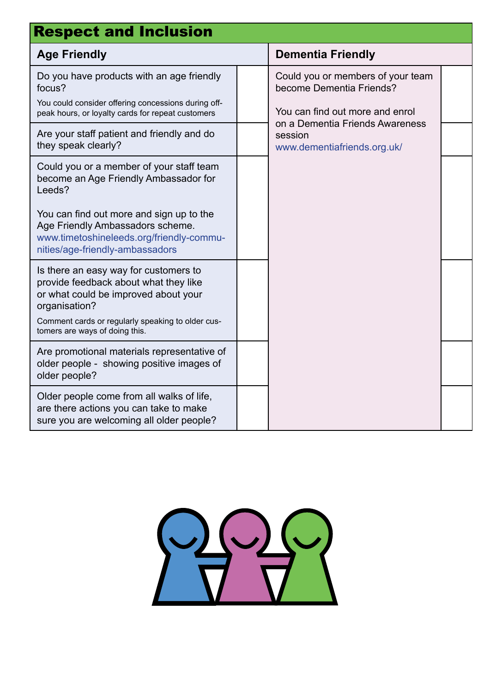| <b>Respect and Inclusion</b>                                                                                                                                                                                                                                      |  |                                                                                                                                                                               |  |
|-------------------------------------------------------------------------------------------------------------------------------------------------------------------------------------------------------------------------------------------------------------------|--|-------------------------------------------------------------------------------------------------------------------------------------------------------------------------------|--|
| <b>Age Friendly</b>                                                                                                                                                                                                                                               |  | <b>Dementia Friendly</b>                                                                                                                                                      |  |
| Do you have products with an age friendly<br>focus?<br>You could consider offering concessions during off-<br>peak hours, or loyalty cards for repeat customers                                                                                                   |  | Could you or members of your team<br>become Dementia Friends?<br>You can find out more and enrol<br>on a Dementia Friends Awareness<br>session<br>www.dementiafriends.org.uk/ |  |
| Are your staff patient and friendly and do<br>they speak clearly?                                                                                                                                                                                                 |  |                                                                                                                                                                               |  |
| Could you or a member of your staff team<br>become an Age Friendly Ambassador for<br>Leeds?<br>You can find out more and sign up to the<br>Age Friendly Ambassadors scheme.<br>www.timetoshineleeds.org/friendly-commu-                                           |  |                                                                                                                                                                               |  |
| nities/age-friendly-ambassadors<br>Is there an easy way for customers to<br>provide feedback about what they like<br>or what could be improved about your<br>organisation?<br>Comment cards or regularly speaking to older cus-<br>tomers are ways of doing this. |  |                                                                                                                                                                               |  |
| Are promotional materials representative of<br>older people - showing positive images of<br>older people?                                                                                                                                                         |  |                                                                                                                                                                               |  |
| Older people come from all walks of life,<br>are there actions you can take to make<br>sure you are welcoming all older people?                                                                                                                                   |  |                                                                                                                                                                               |  |

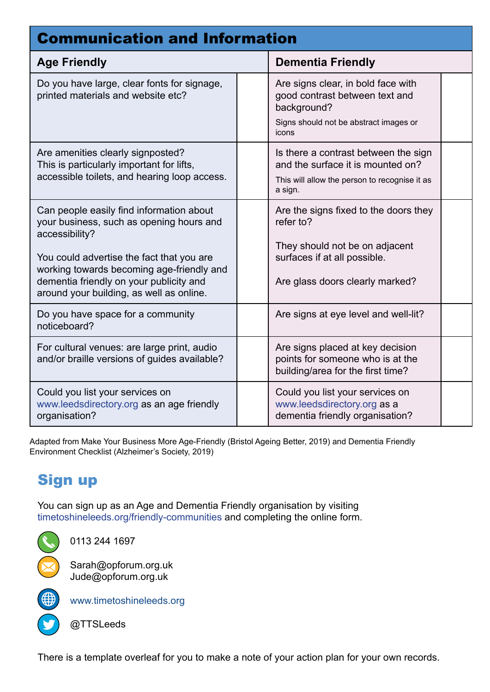| <b>Communication and Information</b>                                                                                                                                                                                                                                                    |  |                                                                                                                                                         |  |
|-----------------------------------------------------------------------------------------------------------------------------------------------------------------------------------------------------------------------------------------------------------------------------------------|--|---------------------------------------------------------------------------------------------------------------------------------------------------------|--|
| <b>Age Friendly</b>                                                                                                                                                                                                                                                                     |  | <b>Dementia Friendly</b>                                                                                                                                |  |
| Do you have large, clear fonts for signage,<br>printed materials and website etc?                                                                                                                                                                                                       |  | Are signs clear, in bold face with<br>good contrast between text and<br>background?<br>Signs should not be abstract images or<br>icons                  |  |
| Are amenities clearly signposted?<br>This is particularly important for lifts,<br>accessible toilets, and hearing loop access.                                                                                                                                                          |  | Is there a contrast between the sign<br>and the surface it is mounted on?<br>This will allow the person to recognise it as<br>a sign.                   |  |
| Can people easily find information about<br>your business, such as opening hours and<br>accessibility?<br>You could advertise the fact that you are<br>working towards becoming age-friendly and<br>dementia friendly on your publicity and<br>around your building, as well as online. |  | Are the signs fixed to the doors they<br>refer to?<br>They should not be on adjacent<br>surfaces if at all possible.<br>Are glass doors clearly marked? |  |
| Do you have space for a community<br>noticeboard?                                                                                                                                                                                                                                       |  | Are signs at eye level and well-lit?                                                                                                                    |  |
| For cultural venues: are large print, audio<br>and/or braille versions of guides available?                                                                                                                                                                                             |  | Are signs placed at key decision<br>points for someone who is at the<br>building/area for the first time?                                               |  |
| Could you list your services on<br>www.leedsdirectory.org as an age friendly<br>organisation?                                                                                                                                                                                           |  | Could you list your services on<br>www.leedsdirectory.org as a<br>dementia friendly organisation?                                                       |  |

Adapted from Make Your Business More Age-Friendly (Bristol Ageing Better, 2019) and Dementia Friendly Environment Checklist (Alzheimer's Society, 2019)

## Sign up

You can sign up as an Age and Dementia Friendly organisation by visiting [timetoshineleeds.org/friendly-communities](https://form.jotformeu.com/92034424367354) and completing the online form.

0113 244 1697

Sarah@opforum.org.uk Jude@opforum.org.uk



[www.timetoshineleeds.org](http://www.timetoshineleeds.org)

@TTSLeeds

There is a template overleaf for you to make a note of your action plan for your own records.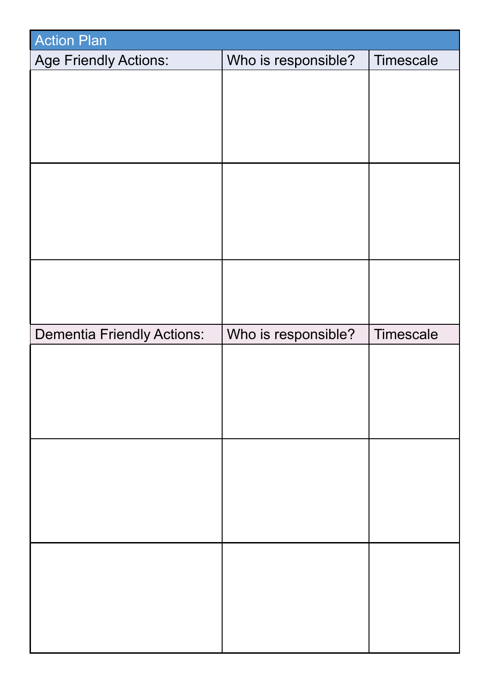| <b>Action Plan</b>                |                     |           |
|-----------------------------------|---------------------|-----------|
| <b>Age Friendly Actions:</b>      | Who is responsible? | Timescale |
|                                   |                     |           |
|                                   |                     |           |
|                                   |                     |           |
|                                   |                     |           |
|                                   |                     |           |
|                                   |                     |           |
|                                   |                     |           |
|                                   |                     |           |
|                                   |                     |           |
|                                   |                     |           |
|                                   |                     |           |
| <b>Dementia Friendly Actions:</b> | Who is responsible? | Timescale |
|                                   |                     |           |
|                                   |                     |           |
|                                   |                     |           |
|                                   |                     |           |
|                                   |                     |           |
|                                   |                     |           |
|                                   |                     |           |
|                                   |                     |           |
|                                   |                     |           |
|                                   |                     |           |
|                                   |                     |           |
|                                   |                     |           |
|                                   |                     |           |
|                                   |                     |           |